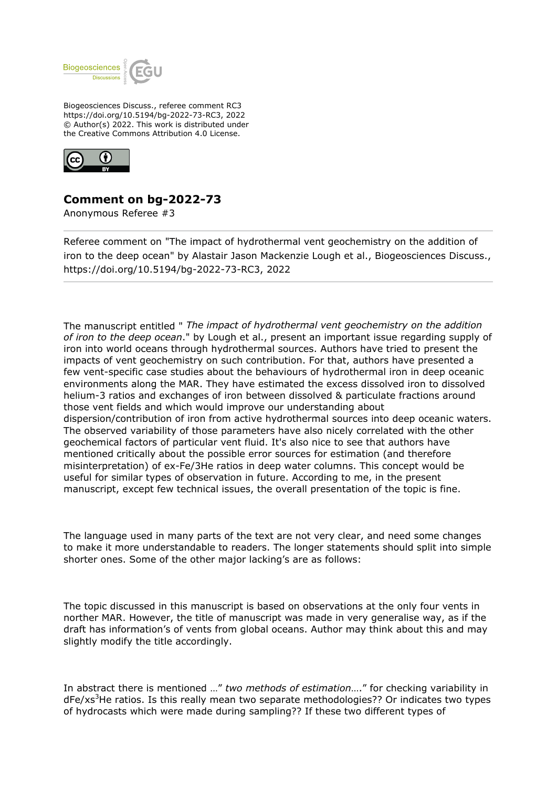

Biogeosciences Discuss., referee comment RC3 https://doi.org/10.5194/bg-2022-73-RC3, 2022 © Author(s) 2022. This work is distributed under the Creative Commons Attribution 4.0 License.



## **Comment on bg-2022-73**

Anonymous Referee #3

Referee comment on "The impact of hydrothermal vent geochemistry on the addition of iron to the deep ocean" by Alastair Jason Mackenzie Lough et al., Biogeosciences Discuss., https://doi.org/10.5194/bg-2022-73-RC3, 2022

The manuscript entitled " *The impact of hydrothermal vent geochemistry on the addition of iron to the deep ocean*." by Lough et al., present an important issue regarding supply of iron into world oceans through hydrothermal sources. Authors have tried to present the impacts of vent geochemistry on such contribution. For that, authors have presented a few vent-specific case studies about the behaviours of hydrothermal iron in deep oceanic environments along the MAR. They have estimated the excess dissolved iron to dissolved helium-3 ratios and exchanges of iron between dissolved & particulate fractions around those vent fields and which would improve our understanding about dispersion/contribution of iron from active hydrothermal sources into deep oceanic waters. The observed variability of those parameters have also nicely correlated with the other geochemical factors of particular vent fluid. It's also nice to see that authors have mentioned critically about the possible error sources for estimation (and therefore misinterpretation) of ex-Fe/3He ratios in deep water columns. This concept would be useful for similar types of observation in future. According to me, in the present manuscript, except few technical issues, the overall presentation of the topic is fine.

The language used in many parts of the text are not very clear, and need some changes to make it more understandable to readers. The longer statements should split into simple shorter ones. Some of the other major lacking's are as follows:

The topic discussed in this manuscript is based on observations at the only four vents in norther MAR. However, the title of manuscript was made in very generalise way, as if the draft has information's of vents from global oceans. Author may think about this and may slightly modify the title accordingly.

In abstract there is mentioned …" *two methods of estimation*…." for checking variability in  $dFe/xs<sup>3</sup>$ He ratios. Is this really mean two separate methodologies?? Or indicates two types of hydrocasts which were made during sampling?? If these two different types of